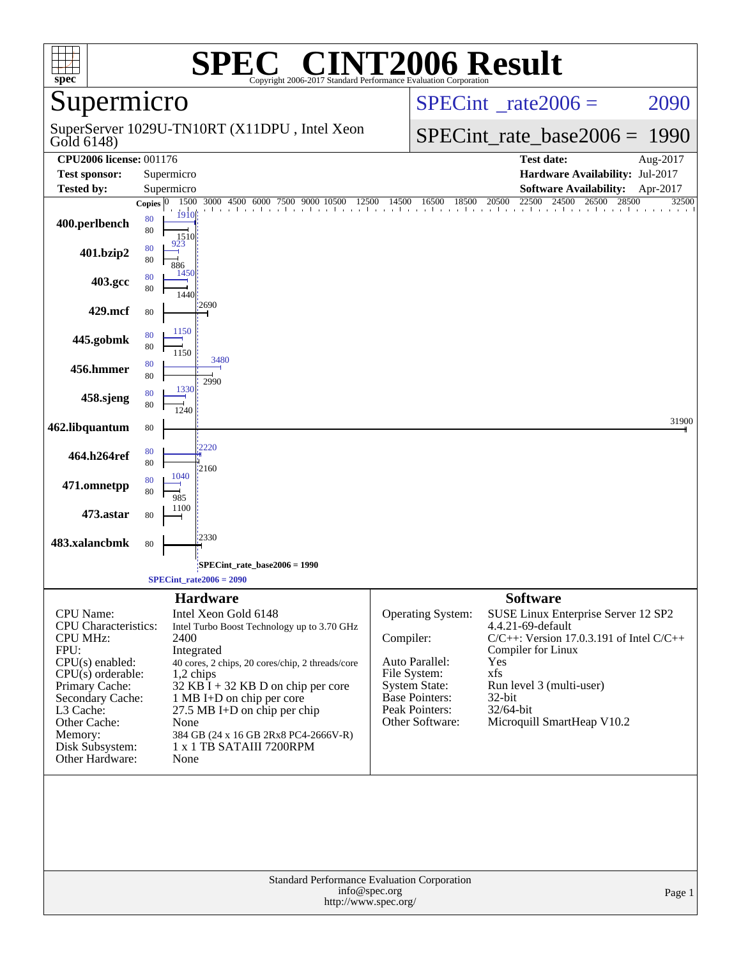

# **[SPEC](http://www.spec.org/auto/cpu2006/Docs/result-fields.html#SPECCINT2006Result)<sup>®</sup>** Copyright 2006-2017 Standard Performance Evaluation Corporation

Gold 6148) SuperServer 1029U-TN10RT (X11DPU , Intel Xeon  $SPECint^{\circ}$  $SPECint^{\circ}$ <sub>-rate</sub> $2006 = 2090$ 

# [SPECint\\_rate\\_base2006 =](http://www.spec.org/auto/cpu2006/Docs/result-fields.html#SPECintratebase2006) 1990

| <b>CPU2006 license: 001176</b><br><b>Test date:</b><br>Aug-2017<br><b>Test sponsor:</b><br>Supermicro<br>Hardware Availability: Jul-2017<br><b>Tested by:</b><br>Supermicro<br><b>Software Availability:</b><br>Apr-2017<br>22500 24500 26500 28500<br>1500<br>3000 4500 6000 7500 9000 10500 12500 14500 16500 18500 20500<br>32500<br>Copies $ 0 $<br>The although a children and a contract the contract of the contract the contract of a<br>1910<br>80<br>400.perlbench<br>80<br>1510<br>923<br>80<br>401.bzip2<br>80<br>886<br>1450<br>80<br>403.gcc<br>80<br>1440<br>12690<br>429.mcf<br>80<br>1150<br>80<br>445.gobmk<br>80<br>1150<br>3480<br>80<br>456.hmmer<br>80<br>2990<br>1330<br>80<br>458.sjeng<br>80<br>1240<br>31900<br>462.libquantum<br>$80\,$<br>2220<br>80<br>464.h264ref<br>80<br>2160<br>1040<br>80<br>471.omnetpp<br>80<br>985<br>1100<br>473.astar<br>80<br>2330<br>483.xalancbmk<br>80<br>SPECint_rate_base2006 = 1990<br>$SPECint\_rate2006 = 2090$<br><b>Software</b><br><b>Hardware</b><br><b>CPU</b> Name:<br>Intel Xeon Gold 6148<br>Operating System:<br>SUSE Linux Enterprise Server 12 SP2<br>4.4.21-69-default<br><b>CPU</b> Characteristics:<br>Intel Turbo Boost Technology up to 3.70 GHz<br>Compiler:<br><b>CPU MHz:</b><br>2400<br>$C/C++$ : Version 17.0.3.191 of Intel $C/C++$<br>FPU:<br>Compiler for Linux<br>Integrated<br>Auto Parallel:<br>Yes<br>$CPU(s)$ enabled:<br>40 cores, 2 chips, 20 cores/chip, 2 threads/core<br>xfs<br>File System:<br>$CPU(s)$ orderable:<br>1,2 chips<br>$32$ KB $I + 32$ KB D on chip per core<br><b>System State:</b><br>Run level 3 (multi-user)<br>Primary Cache:<br>Base Pointers:<br>$32$ -bit<br>Secondary Cache:<br>1 MB I+D on chip per core<br>Peak Pointers:<br>32/64-bit<br>L3 Cache:<br>$27.5$ MB I+D on chip per chip<br>Microquill SmartHeap V10.2<br>Other Software:<br>Other Cache:<br>None<br>Memory:<br>384 GB (24 x 16 GB 2Rx8 PC4-2666V-R)<br>Disk Subsystem:<br>1 x 1 TB SATAIII 7200RPM<br>Other Hardware:<br>None<br>Standard Performance Evaluation Corporation<br>info@spec.org<br>Page 1<br>http://www.spec.org/ | 001 U U U U |  |  |  |  |  |  |  |  |  |
|--------------------------------------------------------------------------------------------------------------------------------------------------------------------------------------------------------------------------------------------------------------------------------------------------------------------------------------------------------------------------------------------------------------------------------------------------------------------------------------------------------------------------------------------------------------------------------------------------------------------------------------------------------------------------------------------------------------------------------------------------------------------------------------------------------------------------------------------------------------------------------------------------------------------------------------------------------------------------------------------------------------------------------------------------------------------------------------------------------------------------------------------------------------------------------------------------------------------------------------------------------------------------------------------------------------------------------------------------------------------------------------------------------------------------------------------------------------------------------------------------------------------------------------------------------------------------------------------------------------------------------------------------------------------------------------------------------------------------------------------------------------------------------------------------------------------------------------------------------------------------------------------------------------------------------------------------------------------------------------------------------------------------------------------------------------------------------------------------------------------------|-------------|--|--|--|--|--|--|--|--|--|
|                                                                                                                                                                                                                                                                                                                                                                                                                                                                                                                                                                                                                                                                                                                                                                                                                                                                                                                                                                                                                                                                                                                                                                                                                                                                                                                                                                                                                                                                                                                                                                                                                                                                                                                                                                                                                                                                                                                                                                                                                                                                                                                          |             |  |  |  |  |  |  |  |  |  |
|                                                                                                                                                                                                                                                                                                                                                                                                                                                                                                                                                                                                                                                                                                                                                                                                                                                                                                                                                                                                                                                                                                                                                                                                                                                                                                                                                                                                                                                                                                                                                                                                                                                                                                                                                                                                                                                                                                                                                                                                                                                                                                                          |             |  |  |  |  |  |  |  |  |  |
|                                                                                                                                                                                                                                                                                                                                                                                                                                                                                                                                                                                                                                                                                                                                                                                                                                                                                                                                                                                                                                                                                                                                                                                                                                                                                                                                                                                                                                                                                                                                                                                                                                                                                                                                                                                                                                                                                                                                                                                                                                                                                                                          |             |  |  |  |  |  |  |  |  |  |
|                                                                                                                                                                                                                                                                                                                                                                                                                                                                                                                                                                                                                                                                                                                                                                                                                                                                                                                                                                                                                                                                                                                                                                                                                                                                                                                                                                                                                                                                                                                                                                                                                                                                                                                                                                                                                                                                                                                                                                                                                                                                                                                          |             |  |  |  |  |  |  |  |  |  |
|                                                                                                                                                                                                                                                                                                                                                                                                                                                                                                                                                                                                                                                                                                                                                                                                                                                                                                                                                                                                                                                                                                                                                                                                                                                                                                                                                                                                                                                                                                                                                                                                                                                                                                                                                                                                                                                                                                                                                                                                                                                                                                                          |             |  |  |  |  |  |  |  |  |  |
|                                                                                                                                                                                                                                                                                                                                                                                                                                                                                                                                                                                                                                                                                                                                                                                                                                                                                                                                                                                                                                                                                                                                                                                                                                                                                                                                                                                                                                                                                                                                                                                                                                                                                                                                                                                                                                                                                                                                                                                                                                                                                                                          |             |  |  |  |  |  |  |  |  |  |
|                                                                                                                                                                                                                                                                                                                                                                                                                                                                                                                                                                                                                                                                                                                                                                                                                                                                                                                                                                                                                                                                                                                                                                                                                                                                                                                                                                                                                                                                                                                                                                                                                                                                                                                                                                                                                                                                                                                                                                                                                                                                                                                          |             |  |  |  |  |  |  |  |  |  |
|                                                                                                                                                                                                                                                                                                                                                                                                                                                                                                                                                                                                                                                                                                                                                                                                                                                                                                                                                                                                                                                                                                                                                                                                                                                                                                                                                                                                                                                                                                                                                                                                                                                                                                                                                                                                                                                                                                                                                                                                                                                                                                                          |             |  |  |  |  |  |  |  |  |  |
|                                                                                                                                                                                                                                                                                                                                                                                                                                                                                                                                                                                                                                                                                                                                                                                                                                                                                                                                                                                                                                                                                                                                                                                                                                                                                                                                                                                                                                                                                                                                                                                                                                                                                                                                                                                                                                                                                                                                                                                                                                                                                                                          |             |  |  |  |  |  |  |  |  |  |
|                                                                                                                                                                                                                                                                                                                                                                                                                                                                                                                                                                                                                                                                                                                                                                                                                                                                                                                                                                                                                                                                                                                                                                                                                                                                                                                                                                                                                                                                                                                                                                                                                                                                                                                                                                                                                                                                                                                                                                                                                                                                                                                          |             |  |  |  |  |  |  |  |  |  |
|                                                                                                                                                                                                                                                                                                                                                                                                                                                                                                                                                                                                                                                                                                                                                                                                                                                                                                                                                                                                                                                                                                                                                                                                                                                                                                                                                                                                                                                                                                                                                                                                                                                                                                                                                                                                                                                                                                                                                                                                                                                                                                                          |             |  |  |  |  |  |  |  |  |  |
|                                                                                                                                                                                                                                                                                                                                                                                                                                                                                                                                                                                                                                                                                                                                                                                                                                                                                                                                                                                                                                                                                                                                                                                                                                                                                                                                                                                                                                                                                                                                                                                                                                                                                                                                                                                                                                                                                                                                                                                                                                                                                                                          |             |  |  |  |  |  |  |  |  |  |
|                                                                                                                                                                                                                                                                                                                                                                                                                                                                                                                                                                                                                                                                                                                                                                                                                                                                                                                                                                                                                                                                                                                                                                                                                                                                                                                                                                                                                                                                                                                                                                                                                                                                                                                                                                                                                                                                                                                                                                                                                                                                                                                          |             |  |  |  |  |  |  |  |  |  |
|                                                                                                                                                                                                                                                                                                                                                                                                                                                                                                                                                                                                                                                                                                                                                                                                                                                                                                                                                                                                                                                                                                                                                                                                                                                                                                                                                                                                                                                                                                                                                                                                                                                                                                                                                                                                                                                                                                                                                                                                                                                                                                                          |             |  |  |  |  |  |  |  |  |  |
|                                                                                                                                                                                                                                                                                                                                                                                                                                                                                                                                                                                                                                                                                                                                                                                                                                                                                                                                                                                                                                                                                                                                                                                                                                                                                                                                                                                                                                                                                                                                                                                                                                                                                                                                                                                                                                                                                                                                                                                                                                                                                                                          |             |  |  |  |  |  |  |  |  |  |
|                                                                                                                                                                                                                                                                                                                                                                                                                                                                                                                                                                                                                                                                                                                                                                                                                                                                                                                                                                                                                                                                                                                                                                                                                                                                                                                                                                                                                                                                                                                                                                                                                                                                                                                                                                                                                                                                                                                                                                                                                                                                                                                          |             |  |  |  |  |  |  |  |  |  |
|                                                                                                                                                                                                                                                                                                                                                                                                                                                                                                                                                                                                                                                                                                                                                                                                                                                                                                                                                                                                                                                                                                                                                                                                                                                                                                                                                                                                                                                                                                                                                                                                                                                                                                                                                                                                                                                                                                                                                                                                                                                                                                                          |             |  |  |  |  |  |  |  |  |  |
|                                                                                                                                                                                                                                                                                                                                                                                                                                                                                                                                                                                                                                                                                                                                                                                                                                                                                                                                                                                                                                                                                                                                                                                                                                                                                                                                                                                                                                                                                                                                                                                                                                                                                                                                                                                                                                                                                                                                                                                                                                                                                                                          |             |  |  |  |  |  |  |  |  |  |
|                                                                                                                                                                                                                                                                                                                                                                                                                                                                                                                                                                                                                                                                                                                                                                                                                                                                                                                                                                                                                                                                                                                                                                                                                                                                                                                                                                                                                                                                                                                                                                                                                                                                                                                                                                                                                                                                                                                                                                                                                                                                                                                          |             |  |  |  |  |  |  |  |  |  |
|                                                                                                                                                                                                                                                                                                                                                                                                                                                                                                                                                                                                                                                                                                                                                                                                                                                                                                                                                                                                                                                                                                                                                                                                                                                                                                                                                                                                                                                                                                                                                                                                                                                                                                                                                                                                                                                                                                                                                                                                                                                                                                                          |             |  |  |  |  |  |  |  |  |  |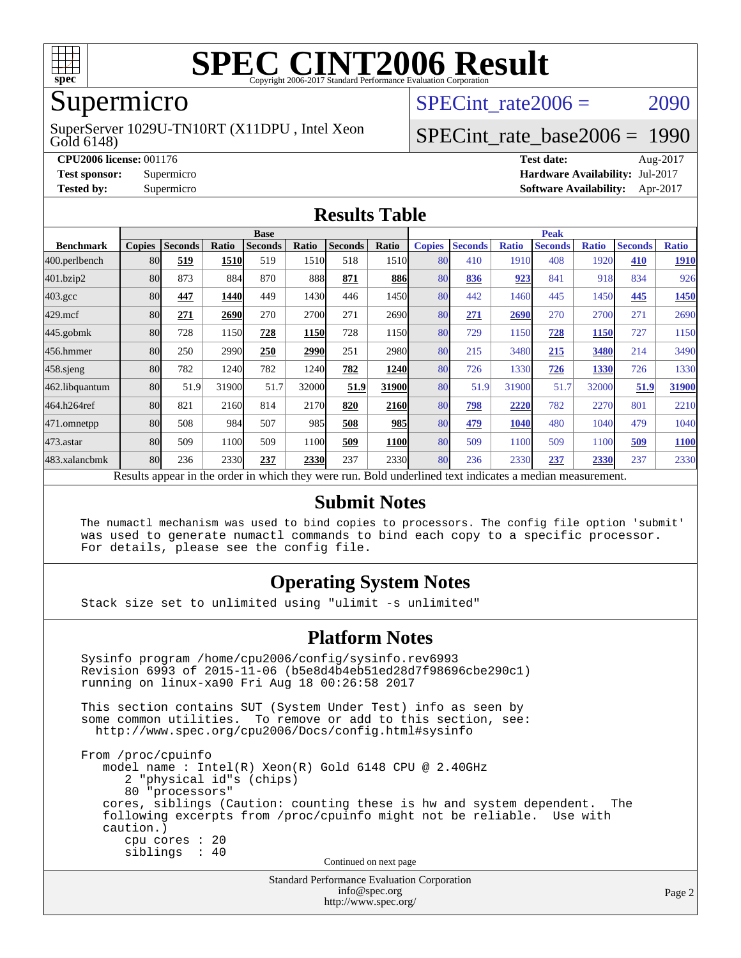

# Supermicro

#### Gold 6148) SuperServer 1029U-TN10RT (X11DPU , Intel Xeon

SPECint rate $2006 = 2090$ 

### [SPECint\\_rate\\_base2006 =](http://www.spec.org/auto/cpu2006/Docs/result-fields.html#SPECintratebase2006) 1990

**[CPU2006 license:](http://www.spec.org/auto/cpu2006/Docs/result-fields.html#CPU2006license)** 001176 **[Test date:](http://www.spec.org/auto/cpu2006/Docs/result-fields.html#Testdate)** Aug-2017 **[Test sponsor:](http://www.spec.org/auto/cpu2006/Docs/result-fields.html#Testsponsor)** Supermicro **[Hardware Availability:](http://www.spec.org/auto/cpu2006/Docs/result-fields.html#HardwareAvailability)** Jul-2017 **[Tested by:](http://www.spec.org/auto/cpu2006/Docs/result-fields.html#Testedby)** Supermicro **Supermicro [Software Availability:](http://www.spec.org/auto/cpu2006/Docs/result-fields.html#SoftwareAvailability)** Apr-2017

#### **[Results Table](http://www.spec.org/auto/cpu2006/Docs/result-fields.html#ResultsTable)**

|                    | <b>Base</b>   |                |       |                                                                |       |                | <b>Peak</b> |               |                |              |                                                      |              |                |              |
|--------------------|---------------|----------------|-------|----------------------------------------------------------------|-------|----------------|-------------|---------------|----------------|--------------|------------------------------------------------------|--------------|----------------|--------------|
| <b>Benchmark</b>   | <b>Copies</b> | <b>Seconds</b> | Ratio | <b>Seconds</b>                                                 | Ratio | <b>Seconds</b> | Ratio       | <b>Copies</b> | <b>Seconds</b> | <b>Ratio</b> | <b>Seconds</b>                                       | <b>Ratio</b> | <b>Seconds</b> | <b>Ratio</b> |
| 400.perlbench      | 80            | 519            | 1510  | 519                                                            | 1510  | 518            | 1510        | 80            | 410            | 1910         | 408                                                  | 1920         | 410            | <b>1910</b>  |
| 401.bzip2          | 80            | 873            | 884   | 870                                                            | 888   | 871            | 886         | 80            | 836            | 923          | 841                                                  | 918          | 834            | 926          |
| $403.\mathrm{gcc}$ | 80            | 447            | 1440  | 449                                                            | 1430  | 446            | 1450        | 80            | 442            | 1460         | 445                                                  | 1450         | 445            | 1450         |
| $429$ .mcf         | 80            | 271            | 2690  | 270                                                            | 2700  | 271            | 26901       | 80            | 271            | 2690         | 270                                                  | 2700         | 271            | 2690         |
| $445$ .gobmk       | 80            | 728            | 1150  | 728                                                            | 1150  | 728            | 1150        | 80            | 729            | 1150         | 728                                                  | 1150         | 727            | 1150         |
| 456.hmmer          | 80            | 250            | 2990  | 250                                                            | 2990  | 251            | 2980l       | 80            | 215            | 3480         | 215                                                  | 3480         | 214            | 3490         |
| $458$ .sjeng       | 80            | 782            | 1240  | 782                                                            | 1240  | 782            | 1240        | 80            | 726            | 1330         | 726                                                  | 1330         | 726            | 1330         |
| 462.libquantum     | 80            | 51.9           | 31900 | 51.7                                                           | 32000 | 51.9           | 31900       | 80            | 51.9           | 31900        | 51.7                                                 | 32000        | 51.9           | 31900        |
| 464.h264ref        | 80            | 821            | 2160  | 814                                                            | 2170  | 820            | 2160        | 80            | 798            | 2220         | 782                                                  | 2270         | 801            | 2210         |
| 471.omnetpp        | 80            | 508            | 984   | 507                                                            | 985   | 508            | 985         | 80            | 479            | 1040         | 480                                                  | 1040         | 479            | 1040         |
| $473$ . astar      | 80            | 509            | 1100  | 509                                                            | 1100  | 509            | <b>1100</b> | 80            | 509            | 1100         | 509                                                  | 1100         | 509            | <b>1100</b>  |
| 483.xalancbmk      | 80            | 236            | 2330  | 237                                                            | 2330  | 237            | 2330        | 80            | 236            | 2330         | 237                                                  | 2330         | 237            | 2330         |
|                    |               |                |       | Describe announced to the conduction of the theory of the most |       |                |             |               |                |              | Deld condentined test indicates a median measurement |              |                |              |

Results appear in the [order in which they were run.](http://www.spec.org/auto/cpu2006/Docs/result-fields.html#RunOrder) Bold underlined text [indicates a median measurement.](http://www.spec.org/auto/cpu2006/Docs/result-fields.html#Median)

#### **[Submit Notes](http://www.spec.org/auto/cpu2006/Docs/result-fields.html#SubmitNotes)**

 The numactl mechanism was used to bind copies to processors. The config file option 'submit' was used to generate numactl commands to bind each copy to a specific processor. For details, please see the config file.

### **[Operating System Notes](http://www.spec.org/auto/cpu2006/Docs/result-fields.html#OperatingSystemNotes)**

Stack size set to unlimited using "ulimit -s unlimited"

#### **[Platform Notes](http://www.spec.org/auto/cpu2006/Docs/result-fields.html#PlatformNotes)**

Standard Performance Evaluation Corporation Sysinfo program /home/cpu2006/config/sysinfo.rev6993 Revision 6993 of 2015-11-06 (b5e8d4b4eb51ed28d7f98696cbe290c1) running on linux-xa90 Fri Aug 18 00:26:58 2017 This section contains SUT (System Under Test) info as seen by some common utilities. To remove or add to this section, see: <http://www.spec.org/cpu2006/Docs/config.html#sysinfo> From /proc/cpuinfo model name : Intel(R) Xeon(R) Gold 6148 CPU @ 2.40GHz 2 "physical id"s (chips) 80 "processors" cores, siblings (Caution: counting these is hw and system dependent. The following excerpts from /proc/cpuinfo might not be reliable. Use with caution.) cpu cores : 20 siblings : 40 Continued on next page

[info@spec.org](mailto:info@spec.org) <http://www.spec.org/>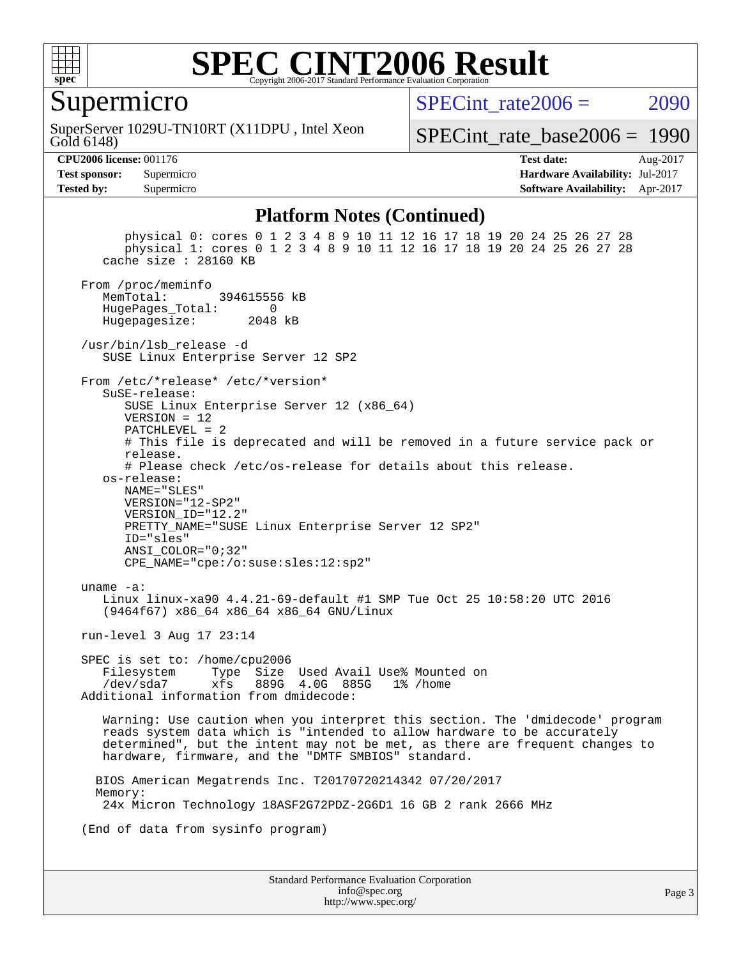

### **[SPEC CINT2006 Result](http://www.spec.org/auto/cpu2006/Docs/result-fields.html#SPECCINT2006Result)** Copyright 2006-2017 Standard Performance Evaluation Corporation

### Supermicro

Gold 6148) SuperServer 1029U-TN10RT (X11DPU , Intel Xeon  $SPECint rate2006 = 2090$ 

[SPECint\\_rate\\_base2006 =](http://www.spec.org/auto/cpu2006/Docs/result-fields.html#SPECintratebase2006) 1990

**[CPU2006 license:](http://www.spec.org/auto/cpu2006/Docs/result-fields.html#CPU2006license)** 001176 **[Test date:](http://www.spec.org/auto/cpu2006/Docs/result-fields.html#Testdate)** Aug-2017 **[Test sponsor:](http://www.spec.org/auto/cpu2006/Docs/result-fields.html#Testsponsor)** Supermicro **[Hardware Availability:](http://www.spec.org/auto/cpu2006/Docs/result-fields.html#HardwareAvailability)** Jul-2017 **[Tested by:](http://www.spec.org/auto/cpu2006/Docs/result-fields.html#Testedby)** Supermicro **[Software Availability:](http://www.spec.org/auto/cpu2006/Docs/result-fields.html#SoftwareAvailability)** Apr-2017

#### **[Platform Notes \(Continued\)](http://www.spec.org/auto/cpu2006/Docs/result-fields.html#PlatformNotes)**

Standard Performance Evaluation Corporation physical 0: cores 0 1 2 3 4 8 9 10 11 12 16 17 18 19 20 24 25 26 27 28 physical 1: cores 0 1 2 3 4 8 9 10 11 12 16 17 18 19 20 24 25 26 27 28 cache size : 28160 KB From /proc/meminfo<br>MemTotal: 394615556 kB HugePages\_Total: 0<br>Hugepagesize: 2048 kB Hugepagesize: /usr/bin/lsb\_release -d SUSE Linux Enterprise Server 12 SP2 From /etc/\*release\* /etc/\*version\* SuSE-release: SUSE Linux Enterprise Server 12 (x86\_64) VERSION = 12 PATCHLEVEL = 2 # This file is deprecated and will be removed in a future service pack or release. # Please check /etc/os-release for details about this release. os-release: NAME="SLES" VERSION="12-SP2" VERSION\_ID="12.2" PRETTY NAME="SUSE Linux Enterprise Server 12 SP2" ID="sles" ANSI\_COLOR="0;32" CPE\_NAME="cpe:/o:suse:sles:12:sp2" uname -a: Linux linux-xa90 4.4.21-69-default #1 SMP Tue Oct 25 10:58:20 UTC 2016 (9464f67) x86\_64 x86\_64 x86\_64 GNU/Linux run-level 3 Aug 17 23:14 SPEC is set to: /home/cpu2006 Filesystem Type Size Used Avail Use% Mounted on 889G 4.0G 885G 1% /home Additional information from dmidecode: Warning: Use caution when you interpret this section. The 'dmidecode' program reads system data which is "intended to allow hardware to be accurately determined", but the intent may not be met, as there are frequent changes to hardware, firmware, and the "DMTF SMBIOS" standard. BIOS American Megatrends Inc. T20170720214342 07/20/2017 Memory: 24x Micron Technology 18ASF2G72PDZ-2G6D1 16 GB 2 rank 2666 MHz (End of data from sysinfo program)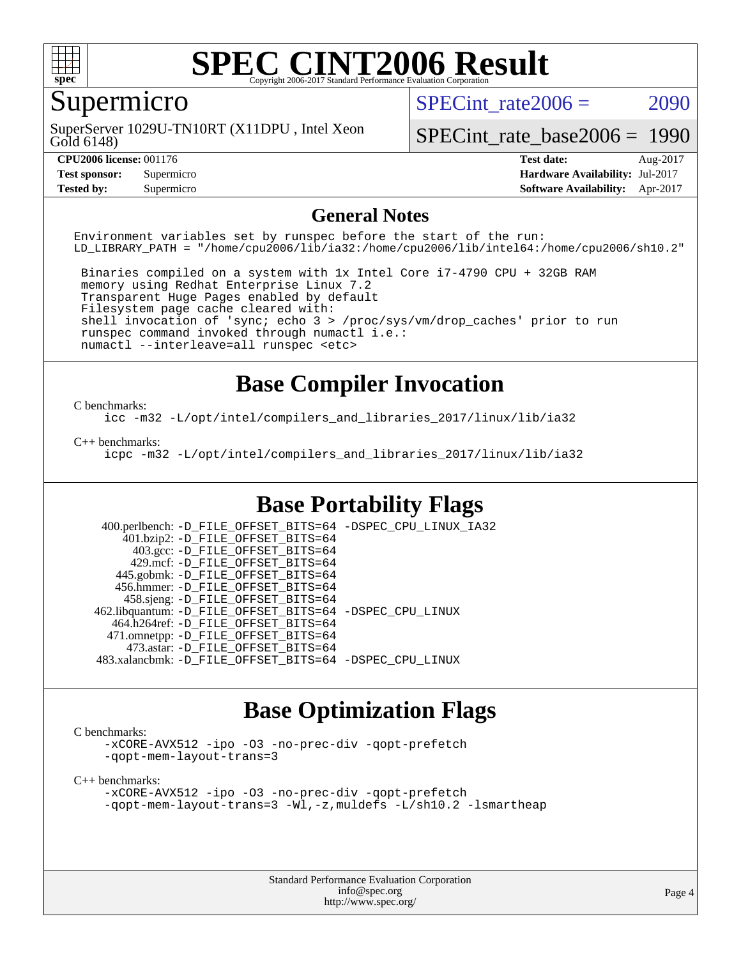

# Supermicro

Gold 6148) SuperServer 1029U-TN10RT (X11DPU , Intel Xeon SPECint rate $2006 = 2090$ 

[SPECint\\_rate\\_base2006 =](http://www.spec.org/auto/cpu2006/Docs/result-fields.html#SPECintratebase2006) 1990

**[CPU2006 license:](http://www.spec.org/auto/cpu2006/Docs/result-fields.html#CPU2006license)** 001176 **[Test date:](http://www.spec.org/auto/cpu2006/Docs/result-fields.html#Testdate)** Aug-2017 **[Test sponsor:](http://www.spec.org/auto/cpu2006/Docs/result-fields.html#Testsponsor)** Supermicro Supermicro **[Hardware Availability:](http://www.spec.org/auto/cpu2006/Docs/result-fields.html#HardwareAvailability)** Jul-2017 **[Tested by:](http://www.spec.org/auto/cpu2006/Docs/result-fields.html#Testedby)** Supermicro **Supermicro [Software Availability:](http://www.spec.org/auto/cpu2006/Docs/result-fields.html#SoftwareAvailability)** Apr-2017

#### **[General Notes](http://www.spec.org/auto/cpu2006/Docs/result-fields.html#GeneralNotes)**

Environment variables set by runspec before the start of the run: LD\_LIBRARY\_PATH = "/home/cpu2006/lib/ia32:/home/cpu2006/lib/intel64:/home/cpu2006/sh10.2"

 Binaries compiled on a system with 1x Intel Core i7-4790 CPU + 32GB RAM memory using Redhat Enterprise Linux 7.2 Transparent Huge Pages enabled by default Filesystem page cache cleared with: shell invocation of 'sync; echo 3 > /proc/sys/vm/drop\_caches' prior to run runspec command invoked through numactl i.e.: numactl --interleave=all runspec <etc>

## **[Base Compiler Invocation](http://www.spec.org/auto/cpu2006/Docs/result-fields.html#BaseCompilerInvocation)**

[C benchmarks](http://www.spec.org/auto/cpu2006/Docs/result-fields.html#Cbenchmarks):

[icc -m32 -L/opt/intel/compilers\\_and\\_libraries\\_2017/linux/lib/ia32](http://www.spec.org/cpu2006/results/res2017q4/cpu2006-20170822-48429.flags.html#user_CCbase_intel_icc_c29f3ff5a7ed067b11e4ec10a03f03ae)

[C++ benchmarks:](http://www.spec.org/auto/cpu2006/Docs/result-fields.html#CXXbenchmarks)

[icpc -m32 -L/opt/intel/compilers\\_and\\_libraries\\_2017/linux/lib/ia32](http://www.spec.org/cpu2006/results/res2017q4/cpu2006-20170822-48429.flags.html#user_CXXbase_intel_icpc_8c35c7808b62dab9ae41a1aa06361b6b)

## **[Base Portability Flags](http://www.spec.org/auto/cpu2006/Docs/result-fields.html#BasePortabilityFlags)**

 400.perlbench: [-D\\_FILE\\_OFFSET\\_BITS=64](http://www.spec.org/cpu2006/results/res2017q4/cpu2006-20170822-48429.flags.html#user_basePORTABILITY400_perlbench_file_offset_bits_64_438cf9856305ebd76870a2c6dc2689ab) [-DSPEC\\_CPU\\_LINUX\\_IA32](http://www.spec.org/cpu2006/results/res2017q4/cpu2006-20170822-48429.flags.html#b400.perlbench_baseCPORTABILITY_DSPEC_CPU_LINUX_IA32) 401.bzip2: [-D\\_FILE\\_OFFSET\\_BITS=64](http://www.spec.org/cpu2006/results/res2017q4/cpu2006-20170822-48429.flags.html#user_basePORTABILITY401_bzip2_file_offset_bits_64_438cf9856305ebd76870a2c6dc2689ab) 403.gcc: [-D\\_FILE\\_OFFSET\\_BITS=64](http://www.spec.org/cpu2006/results/res2017q4/cpu2006-20170822-48429.flags.html#user_basePORTABILITY403_gcc_file_offset_bits_64_438cf9856305ebd76870a2c6dc2689ab) 429.mcf: [-D\\_FILE\\_OFFSET\\_BITS=64](http://www.spec.org/cpu2006/results/res2017q4/cpu2006-20170822-48429.flags.html#user_basePORTABILITY429_mcf_file_offset_bits_64_438cf9856305ebd76870a2c6dc2689ab) 445.gobmk: [-D\\_FILE\\_OFFSET\\_BITS=64](http://www.spec.org/cpu2006/results/res2017q4/cpu2006-20170822-48429.flags.html#user_basePORTABILITY445_gobmk_file_offset_bits_64_438cf9856305ebd76870a2c6dc2689ab) 456.hmmer: [-D\\_FILE\\_OFFSET\\_BITS=64](http://www.spec.org/cpu2006/results/res2017q4/cpu2006-20170822-48429.flags.html#user_basePORTABILITY456_hmmer_file_offset_bits_64_438cf9856305ebd76870a2c6dc2689ab) 458.sjeng: [-D\\_FILE\\_OFFSET\\_BITS=64](http://www.spec.org/cpu2006/results/res2017q4/cpu2006-20170822-48429.flags.html#user_basePORTABILITY458_sjeng_file_offset_bits_64_438cf9856305ebd76870a2c6dc2689ab) 462.libquantum: [-D\\_FILE\\_OFFSET\\_BITS=64](http://www.spec.org/cpu2006/results/res2017q4/cpu2006-20170822-48429.flags.html#user_basePORTABILITY462_libquantum_file_offset_bits_64_438cf9856305ebd76870a2c6dc2689ab) [-DSPEC\\_CPU\\_LINUX](http://www.spec.org/cpu2006/results/res2017q4/cpu2006-20170822-48429.flags.html#b462.libquantum_baseCPORTABILITY_DSPEC_CPU_LINUX) 464.h264ref: [-D\\_FILE\\_OFFSET\\_BITS=64](http://www.spec.org/cpu2006/results/res2017q4/cpu2006-20170822-48429.flags.html#user_basePORTABILITY464_h264ref_file_offset_bits_64_438cf9856305ebd76870a2c6dc2689ab) 471.omnetpp: [-D\\_FILE\\_OFFSET\\_BITS=64](http://www.spec.org/cpu2006/results/res2017q4/cpu2006-20170822-48429.flags.html#user_basePORTABILITY471_omnetpp_file_offset_bits_64_438cf9856305ebd76870a2c6dc2689ab) 473.astar: [-D\\_FILE\\_OFFSET\\_BITS=64](http://www.spec.org/cpu2006/results/res2017q4/cpu2006-20170822-48429.flags.html#user_basePORTABILITY473_astar_file_offset_bits_64_438cf9856305ebd76870a2c6dc2689ab) 483.xalancbmk: [-D\\_FILE\\_OFFSET\\_BITS=64](http://www.spec.org/cpu2006/results/res2017q4/cpu2006-20170822-48429.flags.html#user_basePORTABILITY483_xalancbmk_file_offset_bits_64_438cf9856305ebd76870a2c6dc2689ab) [-DSPEC\\_CPU\\_LINUX](http://www.spec.org/cpu2006/results/res2017q4/cpu2006-20170822-48429.flags.html#b483.xalancbmk_baseCXXPORTABILITY_DSPEC_CPU_LINUX)

## **[Base Optimization Flags](http://www.spec.org/auto/cpu2006/Docs/result-fields.html#BaseOptimizationFlags)**

[C benchmarks](http://www.spec.org/auto/cpu2006/Docs/result-fields.html#Cbenchmarks):

[-xCORE-AVX512](http://www.spec.org/cpu2006/results/res2017q4/cpu2006-20170822-48429.flags.html#user_CCbase_f-xCORE-AVX512) [-ipo](http://www.spec.org/cpu2006/results/res2017q4/cpu2006-20170822-48429.flags.html#user_CCbase_f-ipo) [-O3](http://www.spec.org/cpu2006/results/res2017q4/cpu2006-20170822-48429.flags.html#user_CCbase_f-O3) [-no-prec-div](http://www.spec.org/cpu2006/results/res2017q4/cpu2006-20170822-48429.flags.html#user_CCbase_f-no-prec-div) [-qopt-prefetch](http://www.spec.org/cpu2006/results/res2017q4/cpu2006-20170822-48429.flags.html#user_CCbase_f-qopt-prefetch) [-qopt-mem-layout-trans=3](http://www.spec.org/cpu2006/results/res2017q4/cpu2006-20170822-48429.flags.html#user_CCbase_f-qopt-mem-layout-trans_170f5be61cd2cedc9b54468c59262d5d)

[C++ benchmarks:](http://www.spec.org/auto/cpu2006/Docs/result-fields.html#CXXbenchmarks)

[-xCORE-AVX512](http://www.spec.org/cpu2006/results/res2017q4/cpu2006-20170822-48429.flags.html#user_CXXbase_f-xCORE-AVX512) [-ipo](http://www.spec.org/cpu2006/results/res2017q4/cpu2006-20170822-48429.flags.html#user_CXXbase_f-ipo) [-O3](http://www.spec.org/cpu2006/results/res2017q4/cpu2006-20170822-48429.flags.html#user_CXXbase_f-O3) [-no-prec-div](http://www.spec.org/cpu2006/results/res2017q4/cpu2006-20170822-48429.flags.html#user_CXXbase_f-no-prec-div) [-qopt-prefetch](http://www.spec.org/cpu2006/results/res2017q4/cpu2006-20170822-48429.flags.html#user_CXXbase_f-qopt-prefetch) [-qopt-mem-layout-trans=3](http://www.spec.org/cpu2006/results/res2017q4/cpu2006-20170822-48429.flags.html#user_CXXbase_f-qopt-mem-layout-trans_170f5be61cd2cedc9b54468c59262d5d) [-Wl,-z,muldefs](http://www.spec.org/cpu2006/results/res2017q4/cpu2006-20170822-48429.flags.html#user_CXXbase_link_force_multiple1_74079c344b956b9658436fd1b6dd3a8a) [-L/sh10.2 -lsmartheap](http://www.spec.org/cpu2006/results/res2017q4/cpu2006-20170822-48429.flags.html#user_CXXbase_SmartHeap_b831f2d313e2fffa6dfe3f00ffc1f1c0)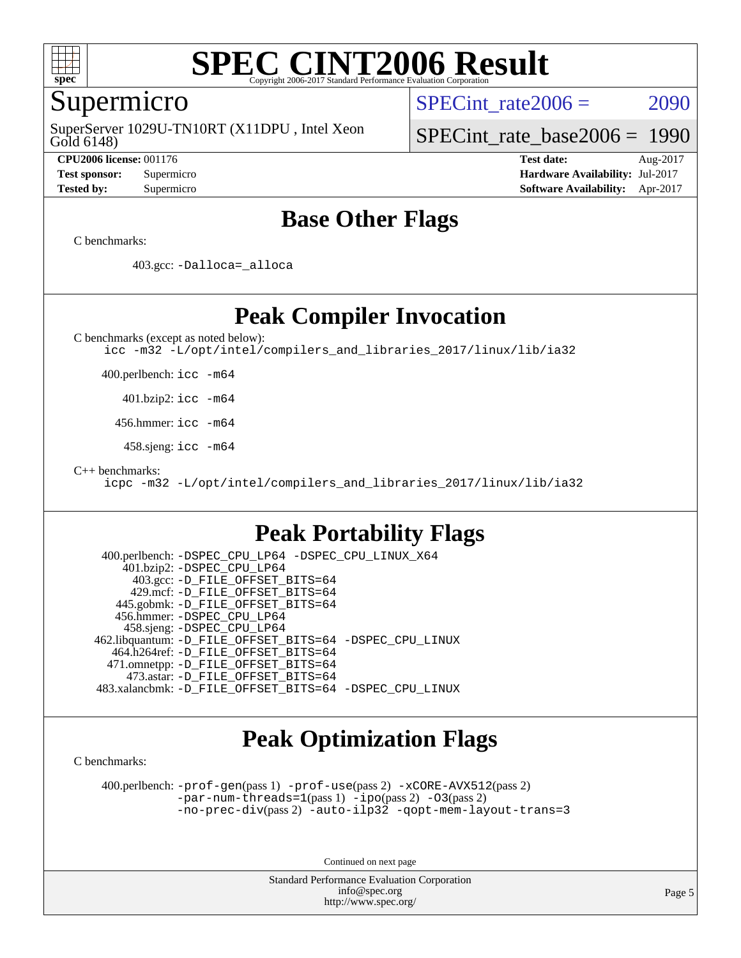

### **[SPEC CINT2006 Result](http://www.spec.org/auto/cpu2006/Docs/result-fields.html#SPECCINT2006Result)** Copyright 2006-2017 Standard Performance Evaluation C

# Supermicro

Gold 6148) SuperServer 1029U-TN10RT (X11DPU , Intel Xeon SPECint rate $2006 = 2090$ 

[SPECint\\_rate\\_base2006 =](http://www.spec.org/auto/cpu2006/Docs/result-fields.html#SPECintratebase2006) 1990

**[CPU2006 license:](http://www.spec.org/auto/cpu2006/Docs/result-fields.html#CPU2006license)** 001176 **[Test date:](http://www.spec.org/auto/cpu2006/Docs/result-fields.html#Testdate)** Aug-2017 **[Test sponsor:](http://www.spec.org/auto/cpu2006/Docs/result-fields.html#Testsponsor)** Supermicro Supermicro **[Hardware Availability:](http://www.spec.org/auto/cpu2006/Docs/result-fields.html#HardwareAvailability)** Jul-2017 **[Tested by:](http://www.spec.org/auto/cpu2006/Docs/result-fields.html#Testedby)** Supermicro **Supermicro [Software Availability:](http://www.spec.org/auto/cpu2006/Docs/result-fields.html#SoftwareAvailability)** Apr-2017

# **[Base Other Flags](http://www.spec.org/auto/cpu2006/Docs/result-fields.html#BaseOtherFlags)**

[C benchmarks](http://www.spec.org/auto/cpu2006/Docs/result-fields.html#Cbenchmarks):

403.gcc: [-Dalloca=\\_alloca](http://www.spec.org/cpu2006/results/res2017q4/cpu2006-20170822-48429.flags.html#b403.gcc_baseEXTRA_CFLAGS_Dalloca_be3056838c12de2578596ca5467af7f3)

**[Peak Compiler Invocation](http://www.spec.org/auto/cpu2006/Docs/result-fields.html#PeakCompilerInvocation)**

[C benchmarks \(except as noted below\)](http://www.spec.org/auto/cpu2006/Docs/result-fields.html#Cbenchmarksexceptasnotedbelow):

[icc -m32 -L/opt/intel/compilers\\_and\\_libraries\\_2017/linux/lib/ia32](http://www.spec.org/cpu2006/results/res2017q4/cpu2006-20170822-48429.flags.html#user_CCpeak_intel_icc_c29f3ff5a7ed067b11e4ec10a03f03ae)

400.perlbench: [icc -m64](http://www.spec.org/cpu2006/results/res2017q4/cpu2006-20170822-48429.flags.html#user_peakCCLD400_perlbench_intel_icc_64bit_bda6cc9af1fdbb0edc3795bac97ada53)

401.bzip2: [icc -m64](http://www.spec.org/cpu2006/results/res2017q4/cpu2006-20170822-48429.flags.html#user_peakCCLD401_bzip2_intel_icc_64bit_bda6cc9af1fdbb0edc3795bac97ada53)

456.hmmer: [icc -m64](http://www.spec.org/cpu2006/results/res2017q4/cpu2006-20170822-48429.flags.html#user_peakCCLD456_hmmer_intel_icc_64bit_bda6cc9af1fdbb0edc3795bac97ada53)

458.sjeng: [icc -m64](http://www.spec.org/cpu2006/results/res2017q4/cpu2006-20170822-48429.flags.html#user_peakCCLD458_sjeng_intel_icc_64bit_bda6cc9af1fdbb0edc3795bac97ada53)

[C++ benchmarks:](http://www.spec.org/auto/cpu2006/Docs/result-fields.html#CXXbenchmarks)

[icpc -m32 -L/opt/intel/compilers\\_and\\_libraries\\_2017/linux/lib/ia32](http://www.spec.org/cpu2006/results/res2017q4/cpu2006-20170822-48429.flags.html#user_CXXpeak_intel_icpc_8c35c7808b62dab9ae41a1aa06361b6b)

# **[Peak Portability Flags](http://www.spec.org/auto/cpu2006/Docs/result-fields.html#PeakPortabilityFlags)**

```
 400.perlbench: -DSPEC_CPU_LP64 -DSPEC_CPU_LINUX_X64
    401.bzip2: -DSPEC_CPU_LP64
      403.gcc: -D_FILE_OFFSET_BITS=64
     429.mcf: -D_FILE_OFFSET_BITS=64
   445.gobmk: -D_FILE_OFFSET_BITS=64
   456.hmmer: -DSPEC_CPU_LP64
    458.sjeng: -DSPEC_CPU_LP64
462.libquantum: -D_FILE_OFFSET_BITS=64 -DSPEC_CPU_LINUX
  464.h264ref: -D_FILE_OFFSET_BITS=64
  471.omnetpp: -D_FILE_OFFSET_BITS=64
     473.astar: -D_FILE_OFFSET_BITS=64
483.xalancbmk: -D_FILE_OFFSET_BITS=64 -DSPEC_CPU_LINUX
```
# **[Peak Optimization Flags](http://www.spec.org/auto/cpu2006/Docs/result-fields.html#PeakOptimizationFlags)**

[C benchmarks](http://www.spec.org/auto/cpu2006/Docs/result-fields.html#Cbenchmarks):

 400.perlbench: [-prof-gen](http://www.spec.org/cpu2006/results/res2017q4/cpu2006-20170822-48429.flags.html#user_peakPASS1_CFLAGSPASS1_LDCFLAGS400_perlbench_prof_gen_e43856698f6ca7b7e442dfd80e94a8fc)(pass 1) [-prof-use](http://www.spec.org/cpu2006/results/res2017q4/cpu2006-20170822-48429.flags.html#user_peakPASS2_CFLAGSPASS2_LDCFLAGS400_perlbench_prof_use_bccf7792157ff70d64e32fe3e1250b55)(pass 2) [-xCORE-AVX512](http://www.spec.org/cpu2006/results/res2017q4/cpu2006-20170822-48429.flags.html#user_peakPASS2_CFLAGSPASS2_LDCFLAGS400_perlbench_f-xCORE-AVX512)(pass 2) [-par-num-threads=1](http://www.spec.org/cpu2006/results/res2017q4/cpu2006-20170822-48429.flags.html#user_peakPASS1_CFLAGSPASS1_LDCFLAGS400_perlbench_par_num_threads_786a6ff141b4e9e90432e998842df6c2)(pass 1) [-ipo](http://www.spec.org/cpu2006/results/res2017q4/cpu2006-20170822-48429.flags.html#user_peakPASS2_CFLAGSPASS2_LDCFLAGS400_perlbench_f-ipo)(pass 2) [-O3](http://www.spec.org/cpu2006/results/res2017q4/cpu2006-20170822-48429.flags.html#user_peakPASS2_CFLAGSPASS2_LDCFLAGS400_perlbench_f-O3)(pass 2) [-no-prec-div](http://www.spec.org/cpu2006/results/res2017q4/cpu2006-20170822-48429.flags.html#user_peakPASS2_CFLAGSPASS2_LDCFLAGS400_perlbench_f-no-prec-div)(pass 2) [-auto-ilp32](http://www.spec.org/cpu2006/results/res2017q4/cpu2006-20170822-48429.flags.html#user_peakCOPTIMIZE400_perlbench_f-auto-ilp32) [-qopt-mem-layout-trans=3](http://www.spec.org/cpu2006/results/res2017q4/cpu2006-20170822-48429.flags.html#user_peakCOPTIMIZE400_perlbench_f-qopt-mem-layout-trans_170f5be61cd2cedc9b54468c59262d5d)

Continued on next page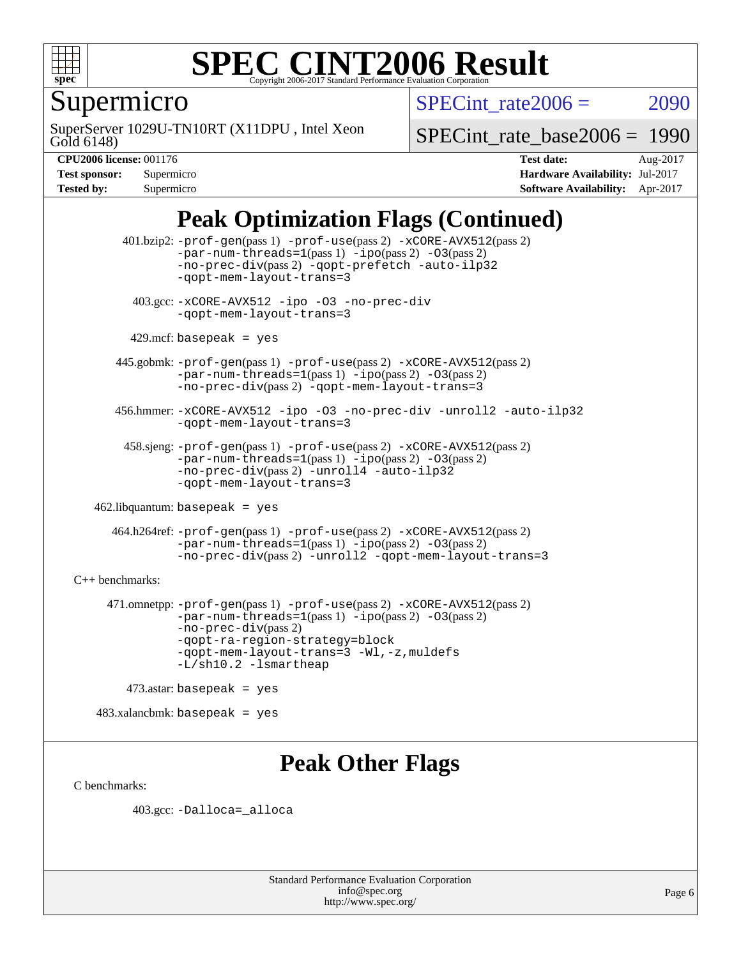

Supermicro

Gold 6148) SuperServer 1029U-TN10RT (X11DPU , Intel Xeon SPECint rate $2006 = 2090$ 

[SPECint\\_rate\\_base2006 =](http://www.spec.org/auto/cpu2006/Docs/result-fields.html#SPECintratebase2006) 1990

| <b>Test sponsor:</b> | Supermicro |
|----------------------|------------|
| <b>Tested by:</b>    | Supermicro |

**[CPU2006 license:](http://www.spec.org/auto/cpu2006/Docs/result-fields.html#CPU2006license)** 001176 **[Test date:](http://www.spec.org/auto/cpu2006/Docs/result-fields.html#Testdate)** Aug-2017 **[Hardware Availability:](http://www.spec.org/auto/cpu2006/Docs/result-fields.html#HardwareAvailability)** Jul-2017 **[Software Availability:](http://www.spec.org/auto/cpu2006/Docs/result-fields.html#SoftwareAvailability)** Apr-2017

# **[Peak Optimization Flags \(Continued\)](http://www.spec.org/auto/cpu2006/Docs/result-fields.html#PeakOptimizationFlags)**

 401.bzip2: [-prof-gen](http://www.spec.org/cpu2006/results/res2017q4/cpu2006-20170822-48429.flags.html#user_peakPASS1_CFLAGSPASS1_LDCFLAGS401_bzip2_prof_gen_e43856698f6ca7b7e442dfd80e94a8fc)(pass 1) [-prof-use](http://www.spec.org/cpu2006/results/res2017q4/cpu2006-20170822-48429.flags.html#user_peakPASS2_CFLAGSPASS2_LDCFLAGS401_bzip2_prof_use_bccf7792157ff70d64e32fe3e1250b55)(pass 2) [-xCORE-AVX512](http://www.spec.org/cpu2006/results/res2017q4/cpu2006-20170822-48429.flags.html#user_peakPASS2_CFLAGSPASS2_LDCFLAGS401_bzip2_f-xCORE-AVX512)(pass 2) [-par-num-threads=1](http://www.spec.org/cpu2006/results/res2017q4/cpu2006-20170822-48429.flags.html#user_peakPASS1_CFLAGSPASS1_LDCFLAGS401_bzip2_par_num_threads_786a6ff141b4e9e90432e998842df6c2)(pass 1) [-ipo](http://www.spec.org/cpu2006/results/res2017q4/cpu2006-20170822-48429.flags.html#user_peakPASS2_CFLAGSPASS2_LDCFLAGS401_bzip2_f-ipo)(pass 2) [-O3](http://www.spec.org/cpu2006/results/res2017q4/cpu2006-20170822-48429.flags.html#user_peakPASS2_CFLAGSPASS2_LDCFLAGS401_bzip2_f-O3)(pass 2) [-no-prec-div](http://www.spec.org/cpu2006/results/res2017q4/cpu2006-20170822-48429.flags.html#user_peakPASS2_CFLAGSPASS2_LDCFLAGS401_bzip2_f-no-prec-div)(pass 2) [-qopt-prefetch](http://www.spec.org/cpu2006/results/res2017q4/cpu2006-20170822-48429.flags.html#user_peakCOPTIMIZE401_bzip2_f-qopt-prefetch) [-auto-ilp32](http://www.spec.org/cpu2006/results/res2017q4/cpu2006-20170822-48429.flags.html#user_peakCOPTIMIZE401_bzip2_f-auto-ilp32) [-qopt-mem-layout-trans=3](http://www.spec.org/cpu2006/results/res2017q4/cpu2006-20170822-48429.flags.html#user_peakCOPTIMIZE401_bzip2_f-qopt-mem-layout-trans_170f5be61cd2cedc9b54468c59262d5d) 403.gcc: [-xCORE-AVX512](http://www.spec.org/cpu2006/results/res2017q4/cpu2006-20170822-48429.flags.html#user_peakOPTIMIZE403_gcc_f-xCORE-AVX512) [-ipo](http://www.spec.org/cpu2006/results/res2017q4/cpu2006-20170822-48429.flags.html#user_peakOPTIMIZE403_gcc_f-ipo) [-O3](http://www.spec.org/cpu2006/results/res2017q4/cpu2006-20170822-48429.flags.html#user_peakOPTIMIZE403_gcc_f-O3) [-no-prec-div](http://www.spec.org/cpu2006/results/res2017q4/cpu2006-20170822-48429.flags.html#user_peakOPTIMIZE403_gcc_f-no-prec-div) [-qopt-mem-layout-trans=3](http://www.spec.org/cpu2006/results/res2017q4/cpu2006-20170822-48429.flags.html#user_peakCOPTIMIZE403_gcc_f-qopt-mem-layout-trans_170f5be61cd2cedc9b54468c59262d5d)  $429$ .mcf: basepeak = yes 445.gobmk: [-prof-gen](http://www.spec.org/cpu2006/results/res2017q4/cpu2006-20170822-48429.flags.html#user_peakPASS1_CFLAGSPASS1_LDCFLAGS445_gobmk_prof_gen_e43856698f6ca7b7e442dfd80e94a8fc)(pass 1) [-prof-use](http://www.spec.org/cpu2006/results/res2017q4/cpu2006-20170822-48429.flags.html#user_peakPASS2_CFLAGSPASS2_LDCFLAGSPASS2_LDFLAGS445_gobmk_prof_use_bccf7792157ff70d64e32fe3e1250b55)(pass 2) [-xCORE-AVX512](http://www.spec.org/cpu2006/results/res2017q4/cpu2006-20170822-48429.flags.html#user_peakPASS2_CFLAGSPASS2_LDCFLAGSPASS2_LDFLAGS445_gobmk_f-xCORE-AVX512)(pass 2) [-par-num-threads=1](http://www.spec.org/cpu2006/results/res2017q4/cpu2006-20170822-48429.flags.html#user_peakPASS1_CFLAGSPASS1_LDCFLAGS445_gobmk_par_num_threads_786a6ff141b4e9e90432e998842df6c2)(pass 1) [-ipo](http://www.spec.org/cpu2006/results/res2017q4/cpu2006-20170822-48429.flags.html#user_peakPASS2_LDCFLAGS445_gobmk_f-ipo)(pass 2) [-O3](http://www.spec.org/cpu2006/results/res2017q4/cpu2006-20170822-48429.flags.html#user_peakPASS2_LDCFLAGS445_gobmk_f-O3)(pass 2) [-no-prec-div](http://www.spec.org/cpu2006/results/res2017q4/cpu2006-20170822-48429.flags.html#user_peakPASS2_LDCFLAGS445_gobmk_f-no-prec-div)(pass 2) [-qopt-mem-layout-trans=3](http://www.spec.org/cpu2006/results/res2017q4/cpu2006-20170822-48429.flags.html#user_peakCOPTIMIZE445_gobmk_f-qopt-mem-layout-trans_170f5be61cd2cedc9b54468c59262d5d) 456.hmmer: [-xCORE-AVX512](http://www.spec.org/cpu2006/results/res2017q4/cpu2006-20170822-48429.flags.html#user_peakOPTIMIZE456_hmmer_f-xCORE-AVX512) [-ipo](http://www.spec.org/cpu2006/results/res2017q4/cpu2006-20170822-48429.flags.html#user_peakOPTIMIZE456_hmmer_f-ipo) [-O3](http://www.spec.org/cpu2006/results/res2017q4/cpu2006-20170822-48429.flags.html#user_peakOPTIMIZE456_hmmer_f-O3) [-no-prec-div](http://www.spec.org/cpu2006/results/res2017q4/cpu2006-20170822-48429.flags.html#user_peakOPTIMIZE456_hmmer_f-no-prec-div) [-unroll2](http://www.spec.org/cpu2006/results/res2017q4/cpu2006-20170822-48429.flags.html#user_peakCOPTIMIZE456_hmmer_f-unroll_784dae83bebfb236979b41d2422d7ec2) [-auto-ilp32](http://www.spec.org/cpu2006/results/res2017q4/cpu2006-20170822-48429.flags.html#user_peakCOPTIMIZE456_hmmer_f-auto-ilp32) [-qopt-mem-layout-trans=3](http://www.spec.org/cpu2006/results/res2017q4/cpu2006-20170822-48429.flags.html#user_peakCOPTIMIZE456_hmmer_f-qopt-mem-layout-trans_170f5be61cd2cedc9b54468c59262d5d) 458.sjeng: [-prof-gen](http://www.spec.org/cpu2006/results/res2017q4/cpu2006-20170822-48429.flags.html#user_peakPASS1_CFLAGSPASS1_LDCFLAGS458_sjeng_prof_gen_e43856698f6ca7b7e442dfd80e94a8fc)(pass 1) [-prof-use](http://www.spec.org/cpu2006/results/res2017q4/cpu2006-20170822-48429.flags.html#user_peakPASS2_CFLAGSPASS2_LDCFLAGS458_sjeng_prof_use_bccf7792157ff70d64e32fe3e1250b55)(pass 2) [-xCORE-AVX512](http://www.spec.org/cpu2006/results/res2017q4/cpu2006-20170822-48429.flags.html#user_peakPASS2_CFLAGSPASS2_LDCFLAGS458_sjeng_f-xCORE-AVX512)(pass 2)  $-par-num-threads=1(pass 1) -ipo(pass 2) -O3(pass 2)$  $-par-num-threads=1(pass 1) -ipo(pass 2) -O3(pass 2)$  $-par-num-threads=1(pass 1) -ipo(pass 2) -O3(pass 2)$  $-par-num-threads=1(pass 1) -ipo(pass 2) -O3(pass 2)$  $-par-num-threads=1(pass 1) -ipo(pass 2) -O3(pass 2)$  $-par-num-threads=1(pass 1) -ipo(pass 2) -O3(pass 2)$ [-no-prec-div](http://www.spec.org/cpu2006/results/res2017q4/cpu2006-20170822-48429.flags.html#user_peakPASS2_CFLAGSPASS2_LDCFLAGS458_sjeng_f-no-prec-div)(pass 2) [-unroll4](http://www.spec.org/cpu2006/results/res2017q4/cpu2006-20170822-48429.flags.html#user_peakCOPTIMIZE458_sjeng_f-unroll_4e5e4ed65b7fd20bdcd365bec371b81f) [-auto-ilp32](http://www.spec.org/cpu2006/results/res2017q4/cpu2006-20170822-48429.flags.html#user_peakCOPTIMIZE458_sjeng_f-auto-ilp32) [-qopt-mem-layout-trans=3](http://www.spec.org/cpu2006/results/res2017q4/cpu2006-20170822-48429.flags.html#user_peakCOPTIMIZE458_sjeng_f-qopt-mem-layout-trans_170f5be61cd2cedc9b54468c59262d5d)  $462$ .libquantum: basepeak = yes 464.h264ref: [-prof-gen](http://www.spec.org/cpu2006/results/res2017q4/cpu2006-20170822-48429.flags.html#user_peakPASS1_CFLAGSPASS1_LDCFLAGS464_h264ref_prof_gen_e43856698f6ca7b7e442dfd80e94a8fc)(pass 1) [-prof-use](http://www.spec.org/cpu2006/results/res2017q4/cpu2006-20170822-48429.flags.html#user_peakPASS2_CFLAGSPASS2_LDCFLAGS464_h264ref_prof_use_bccf7792157ff70d64e32fe3e1250b55)(pass 2) [-xCORE-AVX512](http://www.spec.org/cpu2006/results/res2017q4/cpu2006-20170822-48429.flags.html#user_peakPASS2_CFLAGSPASS2_LDCFLAGS464_h264ref_f-xCORE-AVX512)(pass 2) [-par-num-threads=1](http://www.spec.org/cpu2006/results/res2017q4/cpu2006-20170822-48429.flags.html#user_peakPASS1_CFLAGSPASS1_LDCFLAGS464_h264ref_par_num_threads_786a6ff141b4e9e90432e998842df6c2)(pass 1) [-ipo](http://www.spec.org/cpu2006/results/res2017q4/cpu2006-20170822-48429.flags.html#user_peakPASS2_CFLAGSPASS2_LDCFLAGS464_h264ref_f-ipo)(pass 2) [-O3](http://www.spec.org/cpu2006/results/res2017q4/cpu2006-20170822-48429.flags.html#user_peakPASS2_CFLAGSPASS2_LDCFLAGS464_h264ref_f-O3)(pass 2) [-no-prec-div](http://www.spec.org/cpu2006/results/res2017q4/cpu2006-20170822-48429.flags.html#user_peakPASS2_CFLAGSPASS2_LDCFLAGS464_h264ref_f-no-prec-div)(pass 2) [-unroll2](http://www.spec.org/cpu2006/results/res2017q4/cpu2006-20170822-48429.flags.html#user_peakCOPTIMIZE464_h264ref_f-unroll_784dae83bebfb236979b41d2422d7ec2) [-qopt-mem-layout-trans=3](http://www.spec.org/cpu2006/results/res2017q4/cpu2006-20170822-48429.flags.html#user_peakCOPTIMIZE464_h264ref_f-qopt-mem-layout-trans_170f5be61cd2cedc9b54468c59262d5d) [C++ benchmarks:](http://www.spec.org/auto/cpu2006/Docs/result-fields.html#CXXbenchmarks) 471.omnetpp: [-prof-gen](http://www.spec.org/cpu2006/results/res2017q4/cpu2006-20170822-48429.flags.html#user_peakPASS1_CXXFLAGSPASS1_LDCXXFLAGS471_omnetpp_prof_gen_e43856698f6ca7b7e442dfd80e94a8fc)(pass 1) [-prof-use](http://www.spec.org/cpu2006/results/res2017q4/cpu2006-20170822-48429.flags.html#user_peakPASS2_CXXFLAGSPASS2_LDCXXFLAGS471_omnetpp_prof_use_bccf7792157ff70d64e32fe3e1250b55)(pass 2) [-xCORE-AVX512](http://www.spec.org/cpu2006/results/res2017q4/cpu2006-20170822-48429.flags.html#user_peakPASS2_CXXFLAGSPASS2_LDCXXFLAGS471_omnetpp_f-xCORE-AVX512)(pass 2) [-par-num-threads=1](http://www.spec.org/cpu2006/results/res2017q4/cpu2006-20170822-48429.flags.html#user_peakPASS1_CXXFLAGSPASS1_LDCXXFLAGS471_omnetpp_par_num_threads_786a6ff141b4e9e90432e998842df6c2)(pass 1) [-ipo](http://www.spec.org/cpu2006/results/res2017q4/cpu2006-20170822-48429.flags.html#user_peakPASS2_CXXFLAGSPASS2_LDCXXFLAGS471_omnetpp_f-ipo)(pass 2) [-O3](http://www.spec.org/cpu2006/results/res2017q4/cpu2006-20170822-48429.flags.html#user_peakPASS2_CXXFLAGSPASS2_LDCXXFLAGS471_omnetpp_f-O3)(pass 2) [-no-prec-div](http://www.spec.org/cpu2006/results/res2017q4/cpu2006-20170822-48429.flags.html#user_peakPASS2_CXXFLAGSPASS2_LDCXXFLAGS471_omnetpp_f-no-prec-div)(pass 2) [-qopt-ra-region-strategy=block](http://www.spec.org/cpu2006/results/res2017q4/cpu2006-20170822-48429.flags.html#user_peakCXXOPTIMIZE471_omnetpp_f-qopt-ra-region-strategy_430aa8f7c220cbde92ae827fa8d9be32)  [-qopt-mem-layout-trans=3](http://www.spec.org/cpu2006/results/res2017q4/cpu2006-20170822-48429.flags.html#user_peakCXXOPTIMIZE471_omnetpp_f-qopt-mem-layout-trans_170f5be61cd2cedc9b54468c59262d5d) [-Wl,-z,muldefs](http://www.spec.org/cpu2006/results/res2017q4/cpu2006-20170822-48429.flags.html#user_peakEXTRA_LDFLAGS471_omnetpp_link_force_multiple1_74079c344b956b9658436fd1b6dd3a8a) [-L/sh10.2 -lsmartheap](http://www.spec.org/cpu2006/results/res2017q4/cpu2006-20170822-48429.flags.html#user_peakEXTRA_LIBS471_omnetpp_SmartHeap_b831f2d313e2fffa6dfe3f00ffc1f1c0) 473.astar: basepeak = yes  $483.xalanchmk: basepeak = yes$ 

# **[Peak Other Flags](http://www.spec.org/auto/cpu2006/Docs/result-fields.html#PeakOtherFlags)**

[C benchmarks](http://www.spec.org/auto/cpu2006/Docs/result-fields.html#Cbenchmarks):

403.gcc: [-Dalloca=\\_alloca](http://www.spec.org/cpu2006/results/res2017q4/cpu2006-20170822-48429.flags.html#b403.gcc_peakEXTRA_CFLAGS_Dalloca_be3056838c12de2578596ca5467af7f3)